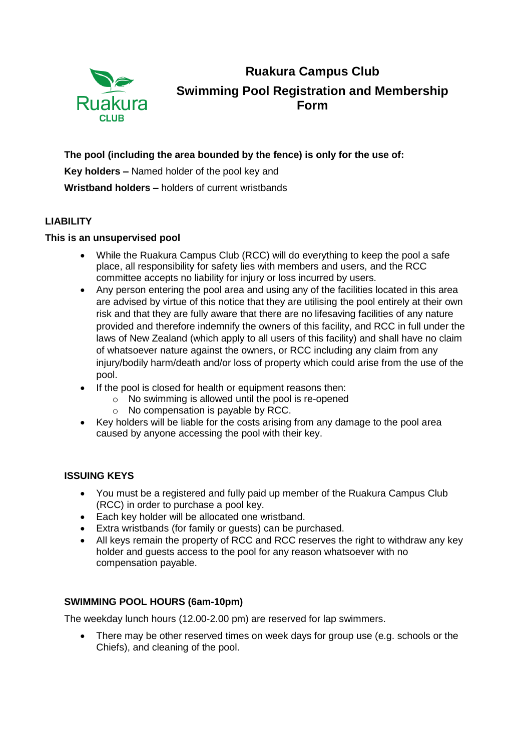

**Ruakura Campus Club Swimming Pool Registration and Membership Form**

**The pool (including the area bounded by the fence) is only for the use of:**

**Key holders –** Named holder of the pool key and

**Wristband holders –** holders of current wristbands

# **LIABILITY**

### **This is an unsupervised pool**

- While the Ruakura Campus Club (RCC) will do everything to keep the pool a safe place, all responsibility for safety lies with members and users, and the RCC committee accepts no liability for injury or loss incurred by users.
- Any person entering the pool area and using any of the facilities located in this area are advised by virtue of this notice that they are utilising the pool entirely at their own risk and that they are fully aware that there are no lifesaving facilities of any nature provided and therefore indemnify the owners of this facility, and RCC in full under the laws of New Zealand (which apply to all users of this facility) and shall have no claim of whatsoever nature against the owners, or RCC including any claim from any injury/bodily harm/death and/or loss of property which could arise from the use of the pool.
- If the pool is closed for health or equipment reasons then:
	- o No swimming is allowed until the pool is re-opened
	- o No compensation is payable by RCC.
- Key holders will be liable for the costs arising from any damage to the pool area caused by anyone accessing the pool with their key.

## **ISSUING KEYS**

- You must be a registered and fully paid up member of the Ruakura Campus Club (RCC) in order to purchase a pool key.
- Each key holder will be allocated one wristband.
- Extra wristbands (for family or guests) can be purchased.
- All keys remain the property of RCC and RCC reserves the right to withdraw any key holder and quests access to the pool for any reason whatsoever with no compensation payable.

## **SWIMMING POOL HOURS (6am-10pm)**

The weekday lunch hours (12.00-2.00 pm) are reserved for lap swimmers.

• There may be other reserved times on week days for group use (e.g. schools or the Chiefs), and cleaning of the pool.